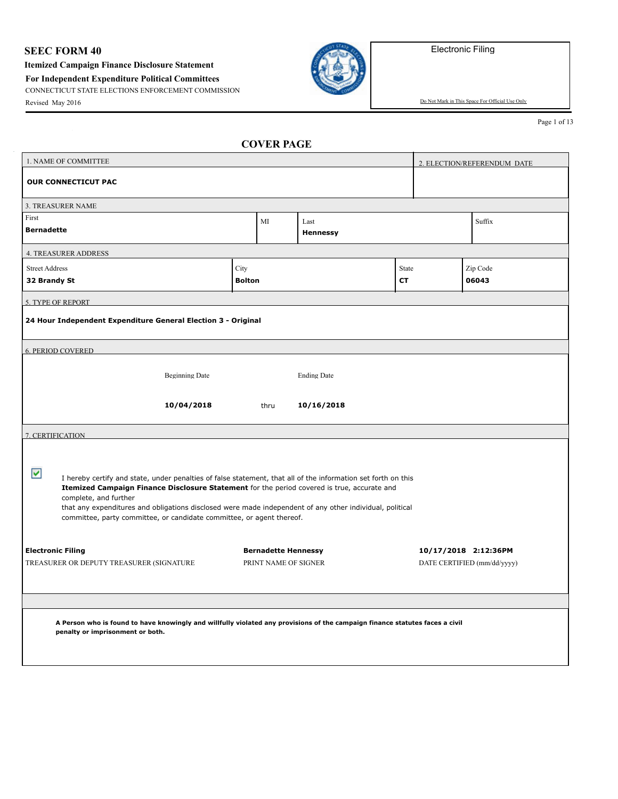## **SEEC FORM 40**

**Itemized Campaign Finance Disclosure Statement**

**For Independent Expenditure Political Committees**

CONNECTICUT STATE ELECTIONS ENFORCEMENT COMMISSION



Revised May 2016 Do Not Mark in This Space For Official Use Only

Page 1 of 13

|                                                                                                                                                                                                                                                                                                                                                                                                                                 | 1. NAME OF COMMITTEE                                                                                                                                             |               |                            |                    |       |                             | 2. ELECTION/REFERENDUM DATE |  |
|---------------------------------------------------------------------------------------------------------------------------------------------------------------------------------------------------------------------------------------------------------------------------------------------------------------------------------------------------------------------------------------------------------------------------------|------------------------------------------------------------------------------------------------------------------------------------------------------------------|---------------|----------------------------|--------------------|-------|-----------------------------|-----------------------------|--|
|                                                                                                                                                                                                                                                                                                                                                                                                                                 | <b>OUR CONNECTICUT PAC</b>                                                                                                                                       |               |                            |                    |       |                             |                             |  |
|                                                                                                                                                                                                                                                                                                                                                                                                                                 | 3. TREASURER NAME                                                                                                                                                |               |                            |                    |       |                             |                             |  |
| First<br><b>Bernadette</b>                                                                                                                                                                                                                                                                                                                                                                                                      |                                                                                                                                                                  |               | МI                         | Last<br>Hennessy   |       |                             | Suffix                      |  |
|                                                                                                                                                                                                                                                                                                                                                                                                                                 | <b>4. TREASURER ADDRESS</b>                                                                                                                                      |               |                            |                    |       |                             |                             |  |
| <b>Street Address</b>                                                                                                                                                                                                                                                                                                                                                                                                           |                                                                                                                                                                  | City          |                            |                    | State |                             | Zip Code                    |  |
| 32 Brandy St                                                                                                                                                                                                                                                                                                                                                                                                                    |                                                                                                                                                                  | <b>Bolton</b> |                            |                    | CТ    |                             | 06043                       |  |
|                                                                                                                                                                                                                                                                                                                                                                                                                                 | 5. TYPE OF REPORT                                                                                                                                                |               |                            |                    |       |                             |                             |  |
|                                                                                                                                                                                                                                                                                                                                                                                                                                 | 24 Hour Independent Expenditure General Election 3 - Original                                                                                                    |               |                            |                    |       |                             |                             |  |
|                                                                                                                                                                                                                                                                                                                                                                                                                                 | <b>6. PERIOD COVERED</b>                                                                                                                                         |               |                            |                    |       |                             |                             |  |
|                                                                                                                                                                                                                                                                                                                                                                                                                                 |                                                                                                                                                                  |               |                            |                    |       |                             |                             |  |
|                                                                                                                                                                                                                                                                                                                                                                                                                                 | <b>Beginning Date</b>                                                                                                                                            |               |                            | <b>Ending Date</b> |       |                             |                             |  |
|                                                                                                                                                                                                                                                                                                                                                                                                                                 | 10/04/2018                                                                                                                                                       |               | thru                       | 10/16/2018         |       |                             |                             |  |
| 7. CERTIFICATION                                                                                                                                                                                                                                                                                                                                                                                                                |                                                                                                                                                                  |               |                            |                    |       |                             |                             |  |
| ⊽<br>I hereby certify and state, under penalties of false statement, that all of the information set forth on this<br>Itemized Campaign Finance Disclosure Statement for the period covered is true, accurate and<br>complete, and further<br>that any expenditures and obligations disclosed were made independent of any other individual, political<br>committee, party committee, or candidate committee, or agent thereof. |                                                                                                                                                                  |               |                            |                    |       |                             |                             |  |
| <b>Electronic Filing</b>                                                                                                                                                                                                                                                                                                                                                                                                        |                                                                                                                                                                  |               | <b>Bernadette Hennessy</b> |                    |       |                             | 10/17/2018 2:12:36PM        |  |
| TREASURER OR DEPUTY TREASURER (SIGNATURE                                                                                                                                                                                                                                                                                                                                                                                        |                                                                                                                                                                  |               | PRINT NAME OF SIGNER       |                    |       | DATE CERTIFIED (mm/dd/yyyy) |                             |  |
|                                                                                                                                                                                                                                                                                                                                                                                                                                 | A Person who is found to have knowingly and willfully violated any provisions of the campaign finance statutes faces a civil<br>penalty or imprisonment or both. |               |                            |                    |       |                             |                             |  |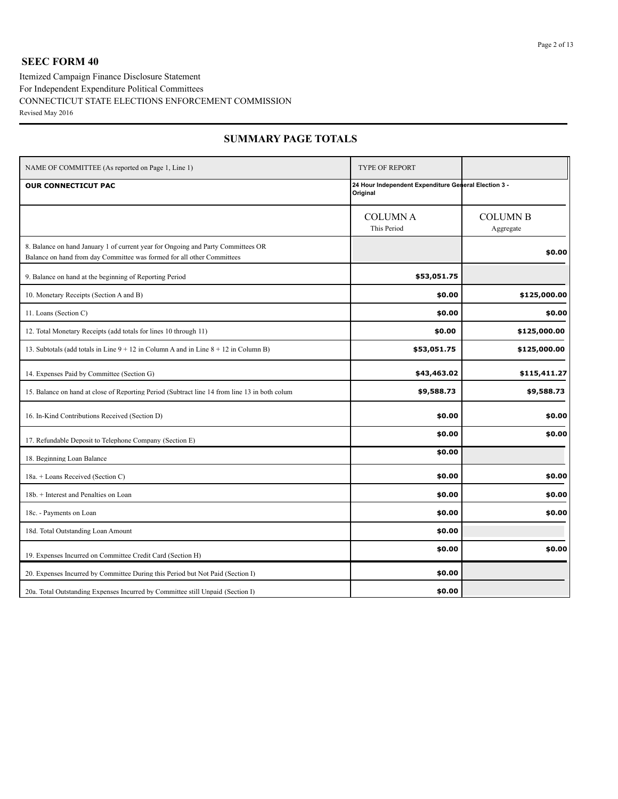### **SEEC FORM 40**

Itemized Campaign Finance Disclosure Statement CONNECTICUT STATE ELECTIONS ENFORCEMENT COMMISSION Revised May 2016 For Independent Expenditure Political Committees

| NAME OF COMMITTEE (As reported on Page 1, Line 1)                                                                                                          | <b>TYPE OF REPORT</b>                                            |                              |
|------------------------------------------------------------------------------------------------------------------------------------------------------------|------------------------------------------------------------------|------------------------------|
| <b>OUR CONNECTICUT PAC</b>                                                                                                                                 | 24 Hour Independent Expenditure General Election 3 -<br>Original |                              |
|                                                                                                                                                            | <b>COLUMNA</b><br>This Period                                    | <b>COLUMN B</b><br>Aggregate |
| 8. Balance on hand January 1 of current year for Ongoing and Party Committees OR<br>Balance on hand from day Committee was formed for all other Committees |                                                                  | \$0.00                       |
| 9. Balance on hand at the beginning of Reporting Period                                                                                                    | \$53,051.75                                                      |                              |
| 10. Monetary Receipts (Section A and B)                                                                                                                    | \$0.00                                                           | \$125,000.00                 |
| 11. Loans (Section C)                                                                                                                                      | \$0.00                                                           | \$0.00                       |
| 12. Total Monetary Receipts (add totals for lines 10 through 11)                                                                                           | \$0.00                                                           | \$125,000.00                 |
| 13. Subtotals (add totals in Line $9 + 12$ in Column A and in Line $8 + 12$ in Column B)                                                                   | \$53,051.75                                                      | \$125,000.00                 |
| 14. Expenses Paid by Committee (Section G)                                                                                                                 | \$43,463.02                                                      | \$115,411.27                 |
| 15. Balance on hand at close of Reporting Period (Subtract line 14 from line 13 in both colum                                                              | \$9,588.73                                                       | \$9,588.73                   |
| 16. In-Kind Contributions Received (Section D)                                                                                                             | \$0.00                                                           | \$0.00                       |
| 17. Refundable Deposit to Telephone Company (Section E)                                                                                                    | \$0.00                                                           | \$0.00                       |
| 18. Beginning Loan Balance                                                                                                                                 | \$0.00                                                           |                              |
| 18a. + Loans Received (Section C)                                                                                                                          | \$0.00                                                           | \$0.00                       |
| 18b. + Interest and Penalties on Loan                                                                                                                      | \$0.00                                                           | \$0.00                       |
| 18c. - Payments on Loan                                                                                                                                    | \$0.00                                                           | \$0.00                       |
| 18d. Total Outstanding Loan Amount                                                                                                                         | \$0.00                                                           |                              |
| 19. Expenses Incurred on Committee Credit Card (Section H)                                                                                                 | \$0.00                                                           | \$0.00                       |
| 20. Expenses Incurred by Committee During this Period but Not Paid (Section I)                                                                             | \$0.00                                                           |                              |
| 20a. Total Outstanding Expenses Incurred by Committee still Unpaid (Section I)                                                                             | \$0.00                                                           |                              |

### **SUMMARY PAGE TOTALS**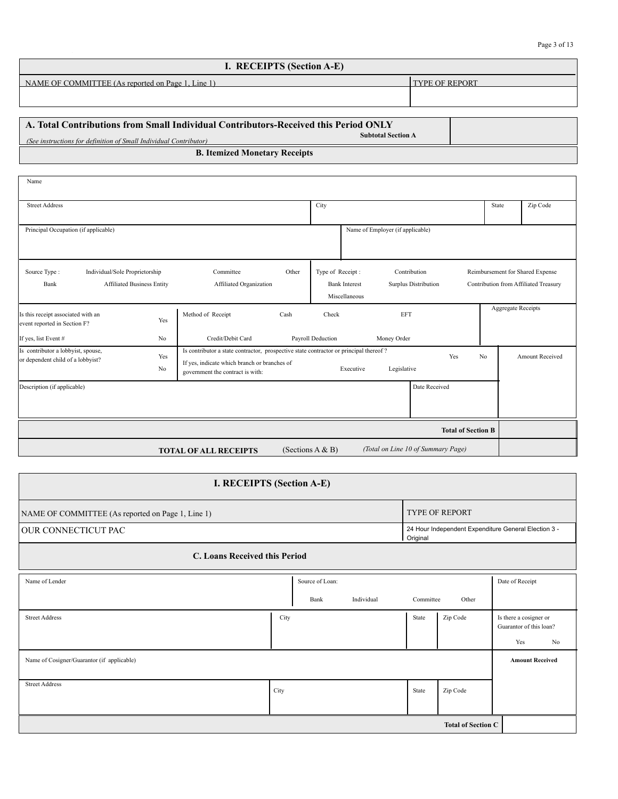| I. RECEIPTS (Section A-E)                         |                       |  |  |  |  |
|---------------------------------------------------|-----------------------|--|--|--|--|
| NAME OF COMMITTEE (As reported on Page 1, Line 1) | <b>TYPE OF REPORT</b> |  |  |  |  |
|                                                   |                       |  |  |  |  |
|                                                   |                       |  |  |  |  |

| $\Delta$ A. Total Contributions from Small Individual Contributors-Received this Period ONLY   |  |
|------------------------------------------------------------------------------------------------|--|
| <b>Subtotal Section A</b><br>(See instructions for definition of Small Individual Contributor) |  |
| <b>B. Itemized Monetary Receipts</b>                                                           |  |

| Name                                                                    |                                                                     |                                                                                                                                                                                                                                |       |                                  |                                       |                                      |                           |                           |                                                                           |
|-------------------------------------------------------------------------|---------------------------------------------------------------------|--------------------------------------------------------------------------------------------------------------------------------------------------------------------------------------------------------------------------------|-------|----------------------------------|---------------------------------------|--------------------------------------|---------------------------|---------------------------|---------------------------------------------------------------------------|
| <b>Street Address</b>                                                   |                                                                     |                                                                                                                                                                                                                                |       | City                             |                                       | State                                | Zip Code                  |                           |                                                                           |
| Principal Occupation (if applicable)                                    |                                                                     |                                                                                                                                                                                                                                |       | Name of Employer (if applicable) |                                       |                                      |                           |                           |                                                                           |
| Source Type:<br>Bank                                                    | Individual/Sole Proprietorship<br><b>Affiliated Business Entity</b> | Committee<br>Affiliated Organization                                                                                                                                                                                           | Other | Type of Receipt:                 | <b>Bank Interest</b><br>Miscellaneous | Contribution<br>Surplus Distribution |                           |                           | Reimbursement for Shared Expense<br>Contribution from Affiliated Treasury |
| Is this receipt associated with an<br>event reported in Section F?      | Yes                                                                 | Method of Receipt                                                                                                                                                                                                              | Cash  | Check                            |                                       | <b>EFT</b>                           |                           | <b>Aggregate Receipts</b> |                                                                           |
| If yes, list Event #                                                    | N <sub>0</sub>                                                      | Credit/Debit Card                                                                                                                                                                                                              |       | Payroll Deduction                |                                       | Money Order                          |                           |                           |                                                                           |
| Is contributor a lobbyist, spouse,<br>or dependent child of a lobbyist? | Yes<br>No                                                           | Is contributor a state contractor, prospective state contractor or principal thereof?<br>Yes<br>N <sub>0</sub><br>If yes, indicate which branch or branches of<br>Legislative<br>Executive<br>government the contract is with: |       |                                  |                                       |                                      | <b>Amount Received</b>    |                           |                                                                           |
| Description (if applicable)                                             |                                                                     |                                                                                                                                                                                                                                |       |                                  |                                       | Date Received                        |                           |                           |                                                                           |
|                                                                         |                                                                     |                                                                                                                                                                                                                                |       |                                  |                                       |                                      | <b>Total of Section B</b> |                           |                                                                           |
|                                                                         |                                                                     | <b>TOTAL OF ALL RECEIPTS</b>                                                                                                                                                                                                   |       | (Sections $A & B$ )              |                                       | (Total on Line 10 of Summary Page)   |                           |                           |                                                                           |

| I. RECEIPTS (Section A-E)                         |                                       |           |                           |                                                                |  |  |  |
|---------------------------------------------------|---------------------------------------|-----------|---------------------------|----------------------------------------------------------------|--|--|--|
| NAME OF COMMITTEE (As reported on Page 1, Line 1) |                                       |           | <b>TYPE OF REPORT</b>     |                                                                |  |  |  |
| OUR CONNECTICUT PAC                               |                                       | Original  |                           | 24 Hour Independent Expenditure General Election 3 -           |  |  |  |
| C. Loans Received this Period                     |                                       |           |                           |                                                                |  |  |  |
| Name of Lender                                    | Source of Loan:<br>Bank<br>Individual | Committee | Other                     | Date of Receipt                                                |  |  |  |
| <b>Street Address</b>                             | City                                  | State     | Zip Code                  | Is there a cosigner or<br>Guarantor of this loan?<br>Yes<br>No |  |  |  |
| Name of Cosigner/Guarantor (if applicable)        |                                       |           |                           | <b>Amount Received</b>                                         |  |  |  |
| <b>Street Address</b>                             | City                                  | State     | Zip Code                  |                                                                |  |  |  |
|                                                   |                                       |           | <b>Total of Section C</b> |                                                                |  |  |  |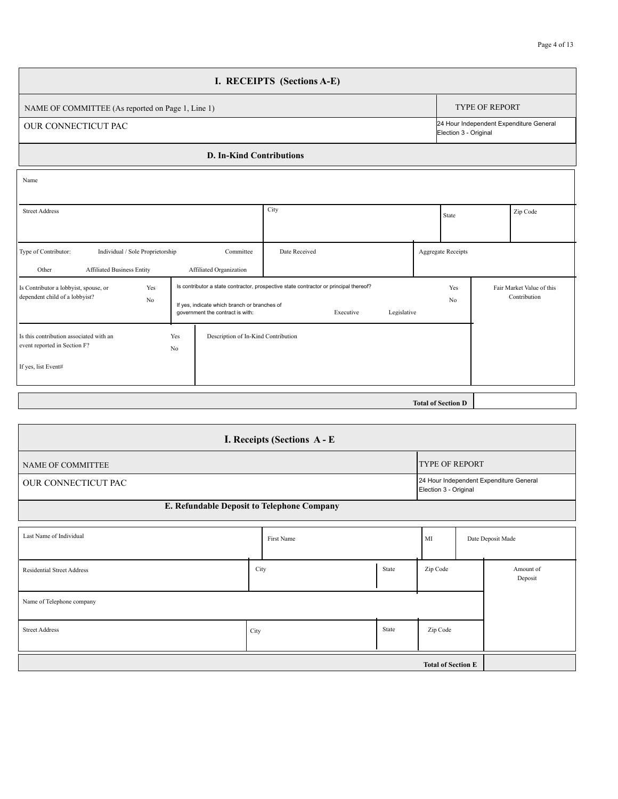| Page 4 of 13 |  |  |
|--------------|--|--|
|              |  |  |

|                                                                                                        |                                                                                  | I. RECEIPTS (Sections A-E)                                                                                        |  |                           |                       |                                           |  |
|--------------------------------------------------------------------------------------------------------|----------------------------------------------------------------------------------|-------------------------------------------------------------------------------------------------------------------|--|---------------------------|-----------------------|-------------------------------------------|--|
| NAME OF COMMITTEE (As reported on Page 1, Line 1)                                                      |                                                                                  |                                                                                                                   |  |                           | <b>TYPE OF REPORT</b> |                                           |  |
| <b>OUR CONNECTICUT PAC</b><br>Election 3 - Original                                                    |                                                                                  |                                                                                                                   |  |                           |                       | 24 Hour Independent Expenditure General   |  |
|                                                                                                        | <b>D. In-Kind Contributions</b>                                                  |                                                                                                                   |  |                           |                       |                                           |  |
| Name                                                                                                   |                                                                                  |                                                                                                                   |  |                           |                       |                                           |  |
| City<br><b>Street Address</b>                                                                          |                                                                                  |                                                                                                                   |  |                           |                       | Zip Code                                  |  |
| Type of Contributor:<br>Individual / Sole Proprietorship<br><b>Affiliated Business Entity</b><br>Other | Committee<br>Affiliated Organization                                             | Date Received                                                                                                     |  | <b>Aggregate Receipts</b> |                       |                                           |  |
| Is Contributor a lobbyist, spouse, or<br>Yes<br>dependent child of a lobbyist?<br>No                   | If yes, indicate which branch or branches of<br>government the contract is with: | Is contributor a state contractor, prospective state contractor or principal thereof?<br>Legislative<br>Executive |  |                           |                       | Fair Market Value of this<br>Contribution |  |
| Is this contribution associated with an<br>event reported in Section F?<br>If yes, list Event#         | Yes<br>Description of In-Kind Contribution<br>No                                 |                                                                                                                   |  |                           |                       |                                           |  |
|                                                                                                        |                                                                                  |                                                                                                                   |  |                           |                       |                                           |  |

**Total of Section D** 

| I. Receipts (Sections A - E                  |               |            |       |          |  |                                         |  |  |
|----------------------------------------------|---------------|------------|-------|----------|--|-----------------------------------------|--|--|
| <b>TYPE OF REPORT</b><br>NAME OF COMMITTEE   |               |            |       |          |  |                                         |  |  |
| OUR CONNECTICUT PAC<br>Election 3 - Original |               |            |       |          |  | 24 Hour Independent Expenditure General |  |  |
| E. Refundable Deposit to Telephone Company   |               |            |       |          |  |                                         |  |  |
| Last Name of Individual                      |               | First Name |       | MI       |  | Date Deposit Made                       |  |  |
| <b>Residential Street Address</b>            | City          |            | State | Zip Code |  | Amount of<br>Deposit                    |  |  |
| Name of Telephone company                    |               |            |       |          |  |                                         |  |  |
| <b>Street Address</b>                        | State<br>City |            |       | Zip Code |  |                                         |  |  |
|                                              |               |            |       |          |  |                                         |  |  |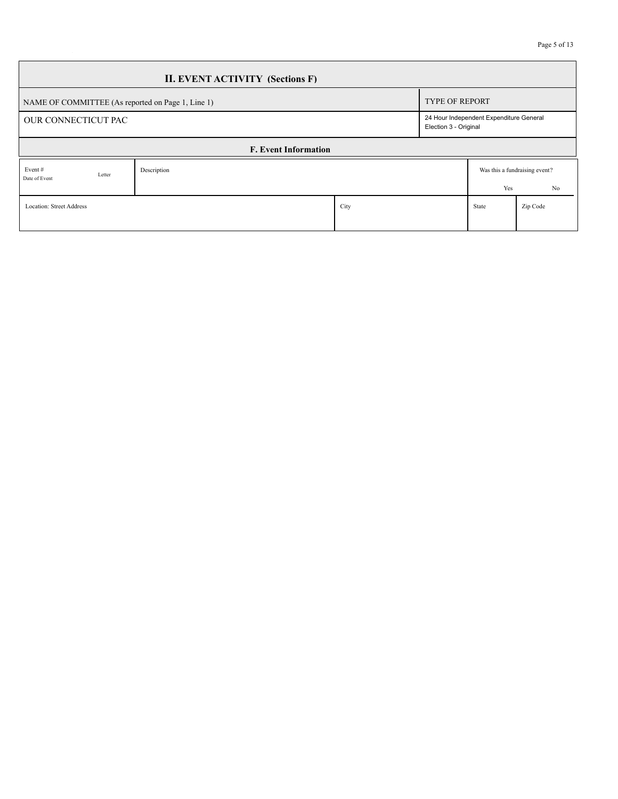| <b>II. EVENT ACTIVITY (Sections F)</b>            |                             |      |  |       |                                                                  |  |  |  |
|---------------------------------------------------|-----------------------------|------|--|-------|------------------------------------------------------------------|--|--|--|
| NAME OF COMMITTEE (As reported on Page 1, Line 1) |                             |      |  |       | <b>TYPE OF REPORT</b>                                            |  |  |  |
| OUR CONNECTICUT PAC                               |                             |      |  |       | 24 Hour Independent Expenditure General<br>Election 3 - Original |  |  |  |
|                                                   | <b>F. Event Information</b> |      |  |       |                                                                  |  |  |  |
| Event#<br>Letter<br>Date of Event                 | Description                 |      |  | Yes   | Was this a fundraising event?<br>No                              |  |  |  |
| <b>Location: Street Address</b>                   |                             | City |  | State | Zip Code                                                         |  |  |  |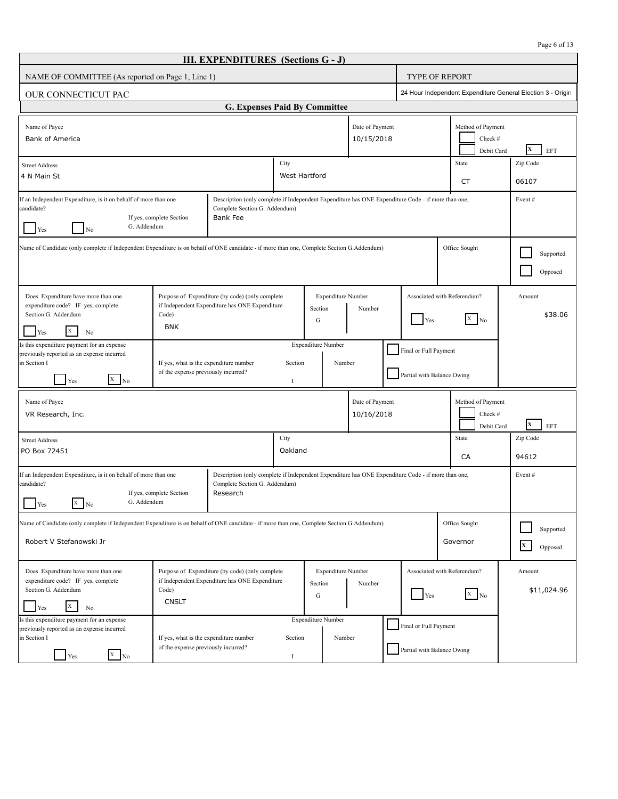|                                                                                                                                                                                                                                                                                                         |                                                                               | <b>III. EXPENDITURES</b> (Sections G - J)                                                         |                 |                                           |                               |                                                                                                    |                                                             |                       |  |
|---------------------------------------------------------------------------------------------------------------------------------------------------------------------------------------------------------------------------------------------------------------------------------------------------------|-------------------------------------------------------------------------------|---------------------------------------------------------------------------------------------------|-----------------|-------------------------------------------|-------------------------------|----------------------------------------------------------------------------------------------------|-------------------------------------------------------------|-----------------------|--|
| NAME OF COMMITTEE (As reported on Page 1, Line 1)                                                                                                                                                                                                                                                       |                                                                               |                                                                                                   |                 |                                           |                               |                                                                                                    | <b>TYPE OF REPORT</b>                                       |                       |  |
| OUR CONNECTICUT PAC                                                                                                                                                                                                                                                                                     |                                                                               |                                                                                                   |                 |                                           |                               |                                                                                                    | 24 Hour Independent Expenditure General Election 3 - Origin |                       |  |
|                                                                                                                                                                                                                                                                                                         |                                                                               | G. Expenses Paid By Committee                                                                     |                 |                                           |                               |                                                                                                    |                                                             |                       |  |
| Name of Payee<br><b>Bank of America</b>                                                                                                                                                                                                                                                                 |                                                                               |                                                                                                   |                 |                                           | Date of Payment<br>10/15/2018 |                                                                                                    | Method of Payment<br>Check #<br>Debit Card                  | $\mathbf x$<br>EFT    |  |
| <b>Street Address</b><br>4 N Main St                                                                                                                                                                                                                                                                    |                                                                               |                                                                                                   |                 | West Hartford                             |                               |                                                                                                    | State<br>CT                                                 | Zip Code<br>06107     |  |
| If an Independent Expenditure, is it on behalf of more than one<br>candidate?<br>Complete Section G. Addendum)<br>Bank Fee<br>If yes, complete Section<br>G. Addendum<br>Yes<br>No                                                                                                                      |                                                                               |                                                                                                   |                 |                                           |                               | Description (only complete if Independent Expenditure has ONE Expenditure Code - if more than one, |                                                             | Event#                |  |
| Name of Candidate (only complete if Independent Expenditure is on behalf of ONE candidate - if more than one, Complete Section G.Addendum)                                                                                                                                                              |                                                                               |                                                                                                   |                 |                                           |                               |                                                                                                    | Office Sought                                               | Supported<br>Opposed  |  |
| Does Expenditure have more than one<br>expenditure code? IF yes, complete<br>Section G. Addendum<br>X<br>Yes<br>No                                                                                                                                                                                      | Code)<br><b>BNK</b>                                                           | Purpose of Expenditure (by code) (only complete<br>if Independent Expenditure has ONE Expenditure |                 | <b>Expenditure Number</b><br>Section<br>G | Number                        | Yes                                                                                                | Associated with Referendum?<br>$\overline{X}$ No            | Amount<br>\$38.06     |  |
| Is this expenditure payment for an expense<br>previously reported as an expense incurred<br>in Section I<br>$X$ No<br>Yes                                                                                                                                                                               | If yes, what is the expenditure number<br>of the expense previously incurred? |                                                                                                   | Section<br>1    | <b>Expenditure Number</b><br>Number       |                               | Final or Full Payment<br>Partial with Balance Owing                                                |                                                             |                       |  |
| Name of Payee<br>VR Research, Inc.                                                                                                                                                                                                                                                                      |                                                                               |                                                                                                   |                 |                                           | Date of Payment<br>10/16/2018 |                                                                                                    | Method of Payment<br>Check #<br>Debit Card                  | $\mathbf x$<br>EFT    |  |
| <b>Street Address</b><br>PO Box 72451                                                                                                                                                                                                                                                                   |                                                                               |                                                                                                   | City<br>Oakland |                                           |                               |                                                                                                    | State<br>CA                                                 | Zip Code<br>94612     |  |
| If an Independent Expenditure, is it on behalf of more than one<br>Description (only complete if Independent Expenditure has ONE Expenditure Code - if more than one,<br>candidate?<br>Complete Section G. Addendum)<br>If yes, complete Section<br>Research<br>G. Addendum<br>$\mathbf X$<br>Yes<br>No |                                                                               |                                                                                                   |                 |                                           |                               |                                                                                                    | Event#                                                      |                       |  |
| Name of Candidate (only complete if Independent Expenditure is on behalf of ONE candidate - if more than one, Complete Section G.Addendum)<br>Robert V Stefanowski Jr                                                                                                                                   |                                                                               |                                                                                                   |                 |                                           |                               |                                                                                                    | Office Sought<br>Governor                                   | Supported<br>Opposed  |  |
| Does Expenditure have more than one<br>expenditure code? IF yes, complete<br>Section G. Addendum<br>X<br>Yes                                                                                                                                                                                            | Code)<br><b>CNSLT</b>                                                         | Purpose of Expenditure (by code) (only complete<br>if Independent Expenditure has ONE Expenditure |                 | <b>Expenditure Number</b><br>Section<br>G | Number                        | Yes                                                                                                | Associated with Referendum?<br>$X \mid N_0$                 | Amount<br>\$11,024.96 |  |
| No<br>Is this expenditure payment for an expense<br>previously reported as an expense incurred<br>in Section I<br>$\overline{X}$ No<br>Yes                                                                                                                                                              | If yes, what is the expenditure number<br>of the expense previously incurred? |                                                                                                   | Section<br>1    | <b>Expenditure Number</b><br>Number       |                               | Final or Full Payment<br>Partial with Balance Owing                                                |                                                             |                       |  |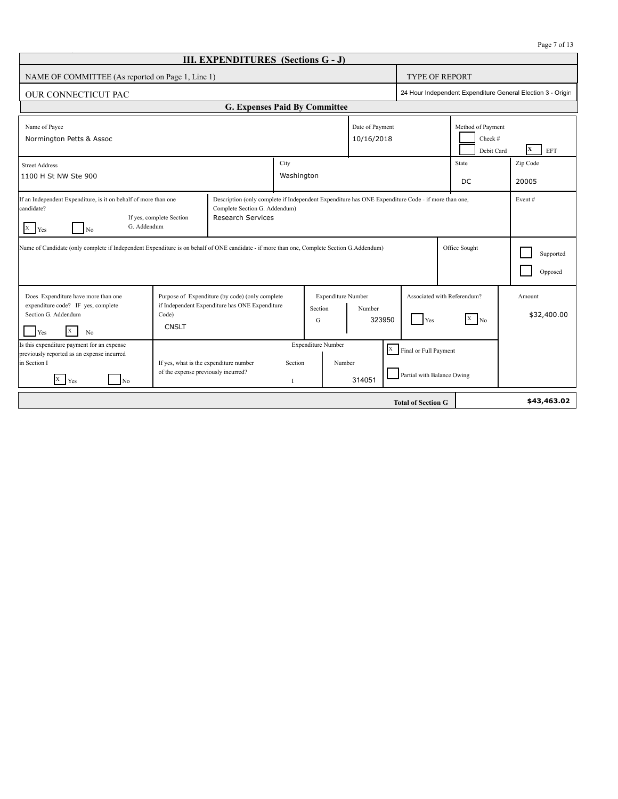| Page 7 of 1 |  |  |  |
|-------------|--|--|--|
|-------------|--|--|--|

| <b>III. EXPENDITURES</b> (Sections G - J)                                                                                                                                                                                                                                                                                                                                                                                                                                        |                                                                               |                                                                                                        |               |                                      |                               |                                                         |                                       |                                            |                                                             |
|----------------------------------------------------------------------------------------------------------------------------------------------------------------------------------------------------------------------------------------------------------------------------------------------------------------------------------------------------------------------------------------------------------------------------------------------------------------------------------|-------------------------------------------------------------------------------|--------------------------------------------------------------------------------------------------------|---------------|--------------------------------------|-------------------------------|---------------------------------------------------------|---------------------------------------|--------------------------------------------|-------------------------------------------------------------|
| NAME OF COMMITTEE (As reported on Page 1, Line 1)                                                                                                                                                                                                                                                                                                                                                                                                                                |                                                                               |                                                                                                        |               |                                      |                               |                                                         | <b>TYPE OF REPORT</b>                 |                                            |                                                             |
| <b>OUR CONNECTICUT PAC</b>                                                                                                                                                                                                                                                                                                                                                                                                                                                       |                                                                               |                                                                                                        |               |                                      |                               |                                                         |                                       |                                            | 24 Hour Independent Expenditure General Election 3 - Origin |
|                                                                                                                                                                                                                                                                                                                                                                                                                                                                                  |                                                                               | G. Expenses Paid By Committee                                                                          |               |                                      |                               |                                                         |                                       |                                            |                                                             |
| Name of Payee<br>Normington Petts & Assoc                                                                                                                                                                                                                                                                                                                                                                                                                                        |                                                                               |                                                                                                        |               |                                      | Date of Payment<br>10/16/2018 |                                                         |                                       | Method of Payment<br>Check #<br>Debit Card | $\mathbf x$<br>EFT                                          |
| <b>Street Address</b>                                                                                                                                                                                                                                                                                                                                                                                                                                                            |                                                                               |                                                                                                        | City          |                                      |                               |                                                         |                                       | State                                      | Zip Code                                                    |
| 1100 H St NW Ste 900                                                                                                                                                                                                                                                                                                                                                                                                                                                             |                                                                               |                                                                                                        | Washington    |                                      |                               |                                                         |                                       | DC                                         | 20005                                                       |
| If an Independent Expenditure, is it on behalf of more than one<br>Description (only complete if Independent Expenditure has ONE Expenditure Code - if more than one,<br>candidate?<br>Complete Section G. Addendum)<br><b>Research Services</b><br>If yes, complete Section<br>G. Addendum<br>$X$ $Yes$<br>$N_0$<br>Name of Candidate (only complete if Independent Expenditure is on behalf of ONE candidate - if more than one, Complete Section G.Addendum)<br>Office Sought |                                                                               |                                                                                                        |               |                                      |                               |                                                         | Event#<br>Supported<br>Opposed        |                                            |                                                             |
| Does Expenditure have more than one<br>expenditure code? IF yes, complete<br>Section G. Addendum<br>X<br>Yes<br>N <sub>0</sub>                                                                                                                                                                                                                                                                                                                                                   | Code)<br><b>CNSLT</b>                                                         | Purpose of Expenditure (by code) (only complete<br>if Independent Expenditure has ONE Expenditure<br>G |               | <b>Expenditure Number</b><br>Section | Number<br>323950<br>Yes       |                                                         | Associated with Referendum?<br>$X$ No |                                            | Amount<br>\$32,400.00                                       |
| Is this expenditure payment for an expense<br>previously reported as an expense incurred<br>in Section I<br>$X$ $Yes$<br>N <sub>0</sub>                                                                                                                                                                                                                                                                                                                                          | If yes, what is the expenditure number<br>of the expense previously incurred? |                                                                                                        | Section<br>-1 | <b>Expenditure Number</b><br>Number  | 314051                        | $X$ Final or Full Payment<br>Partial with Balance Owing |                                       |                                            |                                                             |
|                                                                                                                                                                                                                                                                                                                                                                                                                                                                                  |                                                                               |                                                                                                        |               |                                      |                               | <b>Total of Section G</b>                               |                                       |                                            | \$43,463.02                                                 |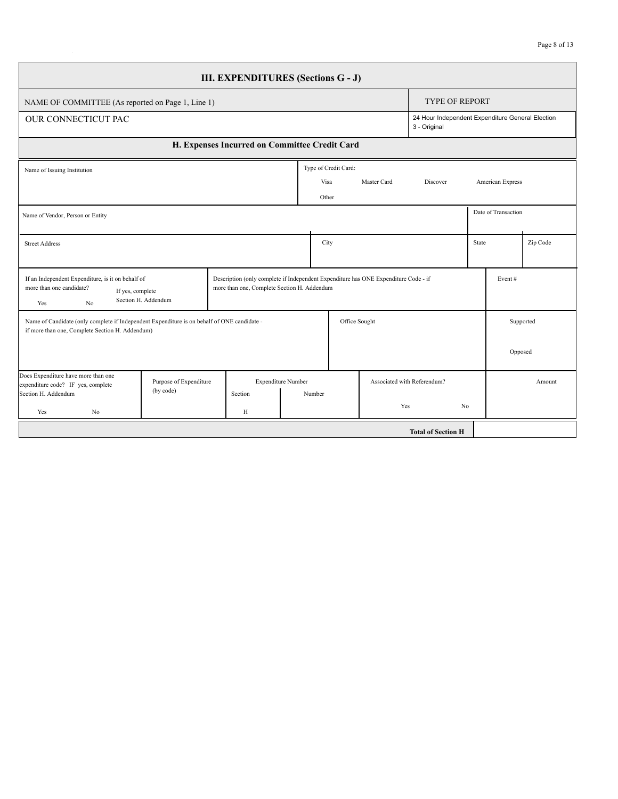| <b>III. EXPENDITURES (Sections G - J)</b>                                                                                                      |                        |  |                                               |                           |        |                      |                                                                                     |                             |                |                                                  |           |
|------------------------------------------------------------------------------------------------------------------------------------------------|------------------------|--|-----------------------------------------------|---------------------------|--------|----------------------|-------------------------------------------------------------------------------------|-----------------------------|----------------|--------------------------------------------------|-----------|
| NAME OF COMMITTEE (As reported on Page 1, Line 1)                                                                                              |                        |  |                                               |                           |        |                      |                                                                                     | <b>TYPE OF REPORT</b>       |                |                                                  |           |
| <b>OUR CONNECTICUT PAC</b>                                                                                                                     |                        |  |                                               |                           |        |                      |                                                                                     | 3 - Original                |                | 24 Hour Independent Expenditure General Election |           |
|                                                                                                                                                |                        |  | H. Expenses Incurred on Committee Credit Card |                           |        |                      |                                                                                     |                             |                |                                                  |           |
| Name of Issuing Institution                                                                                                                    |                        |  |                                               |                           |        | Type of Credit Card: |                                                                                     |                             |                |                                                  |           |
|                                                                                                                                                |                        |  |                                               |                           | Visa   |                      | Master Card                                                                         | Discover                    |                | American Express                                 |           |
|                                                                                                                                                |                        |  |                                               |                           | Other  |                      |                                                                                     |                             |                |                                                  |           |
| Name of Vendor, Person or Entity                                                                                                               |                        |  |                                               |                           |        |                      |                                                                                     |                             |                | Date of Transaction                              |           |
| <b>Street Address</b>                                                                                                                          |                        |  |                                               |                           | City   |                      |                                                                                     |                             |                | State                                            | Zip Code  |
|                                                                                                                                                |                        |  |                                               |                           |        |                      |                                                                                     |                             |                |                                                  |           |
| If an Independent Expenditure, is it on behalf of                                                                                              |                        |  |                                               |                           |        |                      | Description (only complete if Independent Expenditure has ONE Expenditure Code - if |                             |                | Event $#$                                        |           |
| more than one candidate?<br>If yes, complete<br>Yes<br>N <sub>0</sub>                                                                          | Section H. Addendum    |  | more than one, Complete Section H. Addendum   |                           |        |                      |                                                                                     |                             |                |                                                  |           |
| Name of Candidate (only complete if Independent Expenditure is on behalf of ONE candidate -<br>if more than one, Complete Section H. Addendum) |                        |  |                                               |                           |        | Office Sought        |                                                                                     |                             |                |                                                  | Supported |
|                                                                                                                                                |                        |  |                                               |                           |        |                      |                                                                                     |                             |                |                                                  | Opposed   |
| Does Expenditure have more than one<br>expenditure code? IF yes, complete                                                                      | Purpose of Expenditure |  |                                               | <b>Expenditure Number</b> |        |                      |                                                                                     | Associated with Referendum? |                |                                                  | Amount    |
| Section H. Addendum                                                                                                                            | (by code)              |  | Section                                       |                           | Number |                      |                                                                                     |                             |                |                                                  |           |
| Yes<br>No                                                                                                                                      |                        |  | H                                             |                           |        |                      | Yes                                                                                 |                             | N <sub>0</sub> |                                                  |           |
|                                                                                                                                                |                        |  |                                               |                           |        |                      |                                                                                     | <b>Total of Section H</b>   |                |                                                  |           |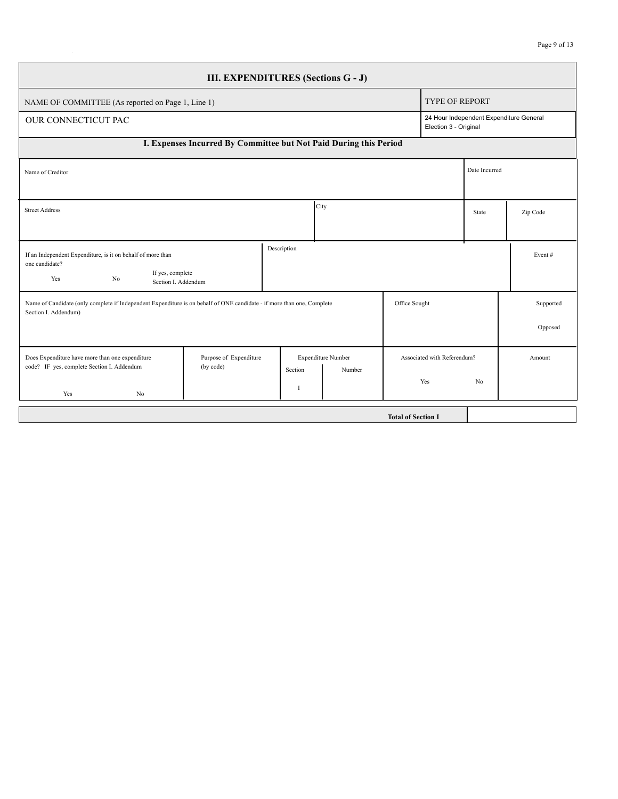| Page 9 of 13 |  |  |  |
|--------------|--|--|--|
|--------------|--|--|--|

| <b>III. EXPENDITURES (Sections G - J)</b>                                                                                                      |                                                                   |               |                    |                           |                             |                                         |           |  |
|------------------------------------------------------------------------------------------------------------------------------------------------|-------------------------------------------------------------------|---------------|--------------------|---------------------------|-----------------------------|-----------------------------------------|-----------|--|
| NAME OF COMMITTEE (As reported on Page 1, Line 1)                                                                                              |                                                                   |               |                    |                           | <b>TYPE OF REPORT</b>       |                                         |           |  |
| <b>OUR CONNECTICUT PAC</b>                                                                                                                     |                                                                   |               |                    |                           | Election 3 - Original       | 24 Hour Independent Expenditure General |           |  |
|                                                                                                                                                | I. Expenses Incurred By Committee but Not Paid During this Period |               |                    |                           |                             |                                         |           |  |
| Name of Creditor                                                                                                                               |                                                                   |               |                    |                           |                             | Date Incurred                           |           |  |
|                                                                                                                                                |                                                                   |               |                    |                           |                             |                                         |           |  |
| <b>Street Address</b>                                                                                                                          |                                                                   | City          |                    |                           |                             | State                                   | Zip Code  |  |
|                                                                                                                                                |                                                                   |               |                    |                           |                             |                                         |           |  |
| If an Independent Expenditure, is it on behalf of more than<br>one candidate?                                                                  |                                                                   | Description   |                    |                           |                             |                                         | Event $#$ |  |
| If yes, complete<br>Yes<br>N <sub>0</sub><br>Section I. Addendum                                                                               |                                                                   |               |                    |                           |                             |                                         |           |  |
| Name of Candidate (only complete if Independent Expenditure is on behalf of ONE candidate - if more than one, Complete<br>Section I. Addendum) |                                                                   |               |                    | Office Sought             |                             |                                         | Supported |  |
|                                                                                                                                                |                                                                   |               |                    |                           |                             |                                         | Opposed   |  |
| Does Expenditure have more than one expenditure<br>code? IF yes, complete Section I. Addendum                                                  | Purpose of Expenditure<br>(by code)                               |               | Expenditure Number |                           | Associated with Referendum? |                                         | Amount    |  |
| Yes<br>No                                                                                                                                      |                                                                   | Section<br>Ι. | Number             |                           | Yes                         | N <sub>0</sub>                          |           |  |
|                                                                                                                                                |                                                                   |               |                    | <b>Total of Section I</b> |                             |                                         |           |  |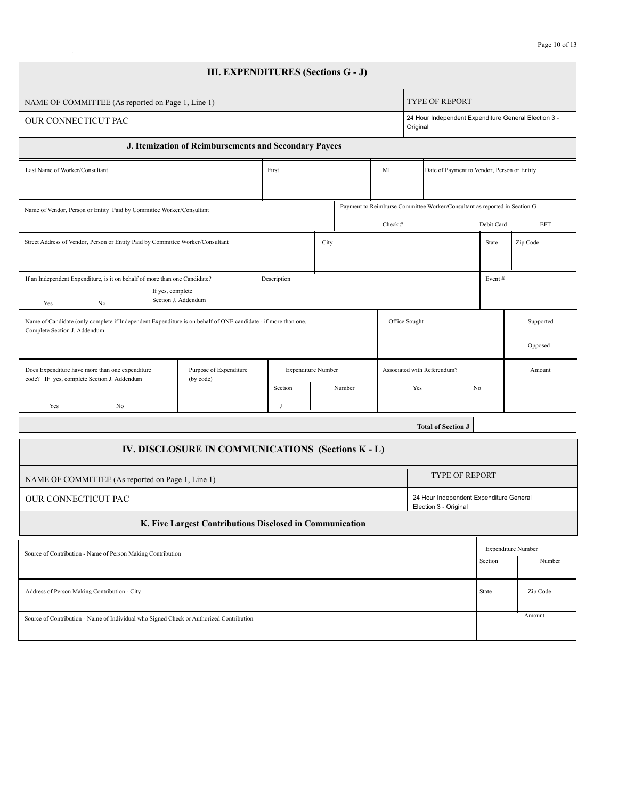| <b>III. EXPENDITURES (Sections G - J)</b>                                                                                                                      |                                                                                                                                      |  |                                                     |      |                                             |                                    |                      |                           |                                                      |          |  |
|----------------------------------------------------------------------------------------------------------------------------------------------------------------|--------------------------------------------------------------------------------------------------------------------------------------|--|-----------------------------------------------------|------|---------------------------------------------|------------------------------------|----------------------|---------------------------|------------------------------------------------------|----------|--|
| NAME OF COMMITTEE (As reported on Page 1, Line 1)                                                                                                              |                                                                                                                                      |  |                                                     |      |                                             |                                    |                      | TYPE OF REPORT            |                                                      |          |  |
| OUR CONNECTICUT PAC                                                                                                                                            |                                                                                                                                      |  |                                                     |      |                                             |                                    | Original             |                           | 24 Hour Independent Expenditure General Election 3 - |          |  |
|                                                                                                                                                                | J. Itemization of Reimbursements and Secondary Payees                                                                                |  |                                                     |      |                                             |                                    |                      |                           |                                                      |          |  |
| Last Name of Worker/Consultant<br>MI<br>First                                                                                                                  |                                                                                                                                      |  |                                                     |      | Date of Payment to Vendor, Person or Entity |                                    |                      |                           |                                                      |          |  |
| Payment to Reimburse Committee Worker/Consultant as reported in Section G<br>Name of Vendor, Person or Entity Paid by Committee Worker/Consultant<br>Check #   |                                                                                                                                      |  |                                                     |      |                                             |                                    | Debit Card           | <b>EFT</b>                |                                                      |          |  |
| Street Address of Vendor, Person or Entity Paid by Committee Worker/Consultant                                                                                 |                                                                                                                                      |  |                                                     | City |                                             |                                    |                      |                           | State                                                | Zip Code |  |
| Yes<br>No                                                                                                                                                      | If an Independent Expenditure, is it on behalf of more than one Candidate?<br>Description<br>If yes, complete<br>Section J. Addendum |  |                                                     |      |                                             |                                    | Event#               |                           |                                                      |          |  |
| Office Sought<br>Name of Candidate (only complete if Independent Expenditure is on behalf of ONE candidate - if more than one,<br>Complete Section J. Addendum |                                                                                                                                      |  |                                                     |      |                                             |                                    | Supported<br>Opposed |                           |                                                      |          |  |
| Does Expenditure have more than one expenditure<br>code? IF yes, complete Section J. Addendum<br>Yes<br>No                                                     | Purpose of Expenditure<br>(by code)                                                                                                  |  | <b>Expenditure Number</b><br>Section<br>Number<br>J |      |                                             | Associated with Referendum?<br>Yes |                      |                           | No                                                   | Amount   |  |
|                                                                                                                                                                |                                                                                                                                      |  |                                                     |      |                                             |                                    |                      | <b>Total of Section J</b> |                                                      |          |  |
|                                                                                                                                                                | IV. DISCLOSURE IN COMMUNICATIONS (Sections K - L)                                                                                    |  |                                                     |      |                                             |                                    |                      |                           |                                                      |          |  |
| NAME OF COMMITTEE (As reported on Page 1, Line 1)                                                                                                              |                                                                                                                                      |  |                                                     |      |                                             |                                    |                      | <b>TYPE OF REPORT</b>     |                                                      |          |  |
| 24 Hour Independent Expenditure General<br>OUR CONNECTICUT PAC<br>Election 3 - Original                                                                        |                                                                                                                                      |  |                                                     |      |                                             |                                    |                      |                           |                                                      |          |  |
|                                                                                                                                                                | K. Five Largest Contributions Disclosed in Communication                                                                             |  |                                                     |      |                                             |                                    |                      |                           |                                                      |          |  |
| <b>Expenditure Number</b><br>Source of Contribution - Name of Person Making Contribution<br>Section                                                            |                                                                                                                                      |  |                                                     |      |                                             | Number                             |                      |                           |                                                      |          |  |
| Address of Person Making Contribution - City                                                                                                                   |                                                                                                                                      |  |                                                     |      |                                             |                                    | State                | Zip Code                  |                                                      |          |  |
| Source of Contribution - Name of Individual who Signed Check or Authorized Contribution                                                                        |                                                                                                                                      |  |                                                     |      |                                             |                                    |                      |                           |                                                      | Amount   |  |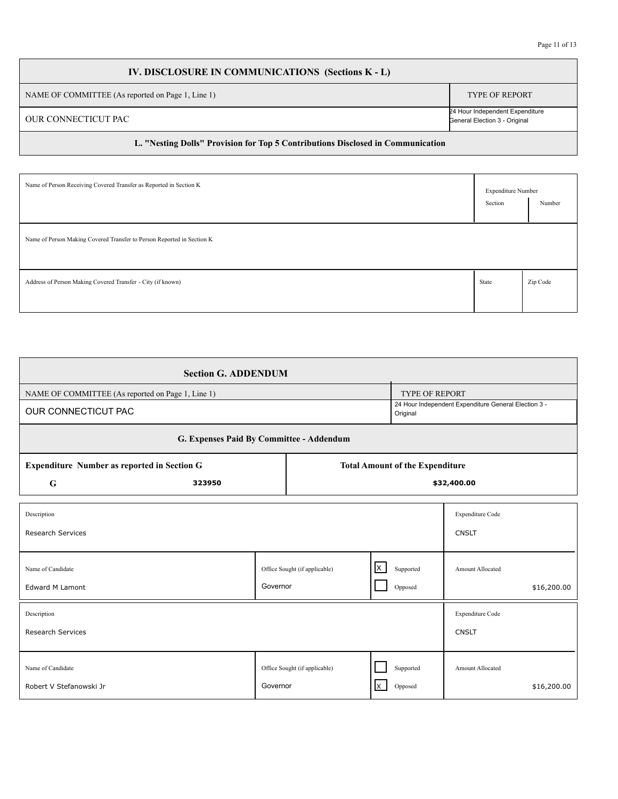# **IV. DISCLOSURE IN COMMUNICATIONS (Sections K - L)** NAME OF COMMITTEE (As reported on Page 1, Line 1) TYPE OF REPORT OUR CONNECTICUT PAC 24 Hour Independent Expenditure General Election 3 - Original

#### **L. "Nesting Dolls" Provision for Top 5 Contributions Disclosed in Communication**

| Name of Person Receiving Covered Transfer as Reported in Section K     | <b>Expenditure Number</b><br>Section | Number   |
|------------------------------------------------------------------------|--------------------------------------|----------|
| Name of Person Making Covered Transfer to Person Reported in Section K |                                      |          |
| Address of Person Making Covered Transfer - City (if known)            | State                                | Zip Code |

| <b>Section G. ADDENDUM</b>                         |                                        |                                                           |  |                       |                                                      |  |  |  |
|----------------------------------------------------|----------------------------------------|-----------------------------------------------------------|--|-----------------------|------------------------------------------------------|--|--|--|
| NAME OF COMMITTEE (As reported on Page 1, Line 1)  |                                        |                                                           |  | <b>TYPE OF REPORT</b> |                                                      |  |  |  |
| OUR CONNECTICUT PAC                                |                                        |                                                           |  | Original              | 24 Hour Independent Expenditure General Election 3 - |  |  |  |
| G. Expenses Paid By Committee - Addendum           |                                        |                                                           |  |                       |                                                      |  |  |  |
| <b>Expenditure Number as reported in Section G</b> | <b>Total Amount of the Expenditure</b> |                                                           |  |                       |                                                      |  |  |  |
| $\mathbf G$<br>323950                              | \$32,400.00                            |                                                           |  |                       |                                                      |  |  |  |
| Description<br><b>Research Services</b>            |                                        |                                                           |  |                       | Expenditure Code<br><b>CNSLT</b>                     |  |  |  |
| Name of Candidate<br><b>Edward M Lamont</b>        |                                        | $\mathsf{x}$<br>Office Sought (if applicable)<br>Governor |  | Supported<br>Opposed  | Amount Allocated<br>\$16,200.00                      |  |  |  |
| Description<br><b>Research Services</b>            |                                        |                                                           |  |                       | Expenditure Code<br><b>CNSLT</b>                     |  |  |  |
| Name of Candidate<br>Robert V Stefanowski Jr       |                                        | Office Sought (if applicable)<br>Governor                 |  | Supported<br>Opposed  | Amount Allocated<br>\$16,200.00                      |  |  |  |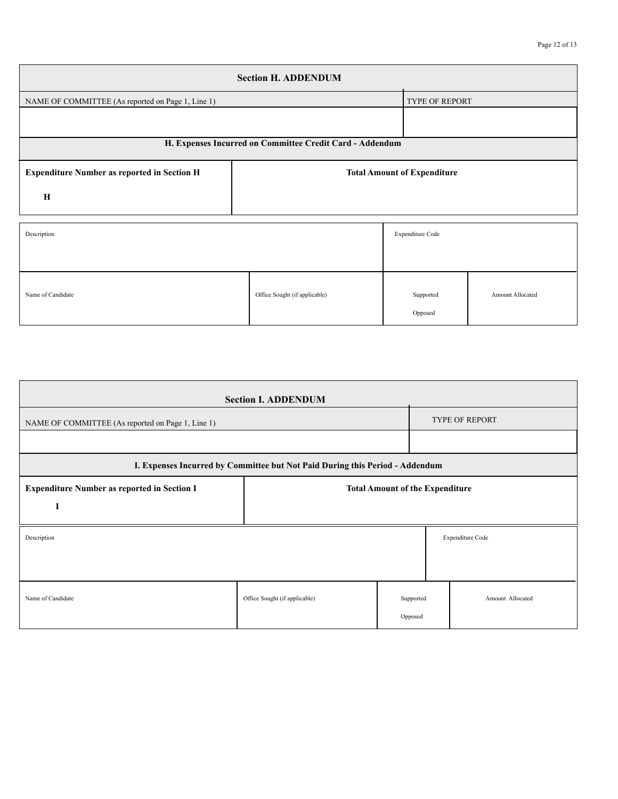| <b>Section H. ADDENDUM</b>                               |                                    |           |                         |  |  |  |  |  |
|----------------------------------------------------------|------------------------------------|-----------|-------------------------|--|--|--|--|--|
| NAME OF COMMITTEE (As reported on Page 1, Line 1)        | TYPE OF REPORT                     |           |                         |  |  |  |  |  |
|                                                          |                                    |           |                         |  |  |  |  |  |
| H. Expenses Incurred on Committee Credit Card - Addendum |                                    |           |                         |  |  |  |  |  |
| <b>Expenditure Number as reported in Section H</b>       | <b>Total Amount of Expenditure</b> |           |                         |  |  |  |  |  |
| $\mathbf H$                                              |                                    |           |                         |  |  |  |  |  |
| Description                                              | Expenditure Code                   |           |                         |  |  |  |  |  |
| Name of Candidate                                        | Office Sought (if applicable)      | Supported | <b>Amount Allocated</b> |  |  |  |  |  |

Opposed

| <b>Section I. ADDENDUM</b>                                                   |                                        |                      |  |                       |  |  |  |
|------------------------------------------------------------------------------|----------------------------------------|----------------------|--|-----------------------|--|--|--|
| NAME OF COMMITTEE (As reported on Page 1, Line 1)                            |                                        |                      |  | <b>TYPE OF REPORT</b> |  |  |  |
|                                                                              |                                        |                      |  |                       |  |  |  |
| I. Expenses Incurred by Committee but Not Paid During this Period - Addendum |                                        |                      |  |                       |  |  |  |
| <b>Expenditure Number as reported in Section I</b>                           | <b>Total Amount of the Expenditure</b> |                      |  |                       |  |  |  |
| I                                                                            |                                        |                      |  |                       |  |  |  |
| Expenditure Code<br>Description                                              |                                        |                      |  |                       |  |  |  |
|                                                                              |                                        |                      |  |                       |  |  |  |
| Name of Candidate                                                            | Office Sought (if applicable)          | Supported<br>Opposed |  | Amount Allocated      |  |  |  |